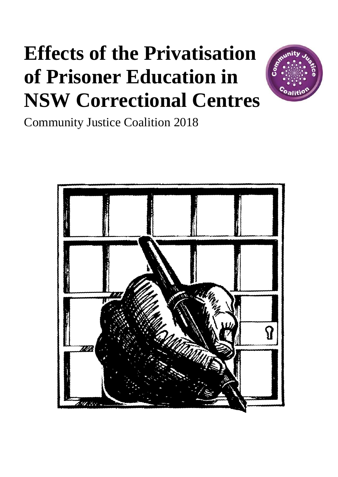# **Effects of the Privatisation of Prisoner Education in NSW Correctional Centres**



Community Justice Coalition 2018

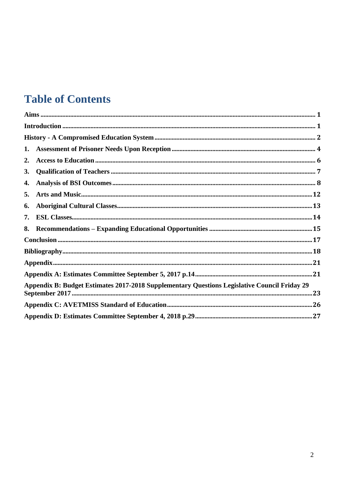## **Table of Contents**

| 1. |                                                                                              |  |
|----|----------------------------------------------------------------------------------------------|--|
| 2. |                                                                                              |  |
| 3. |                                                                                              |  |
| 4. |                                                                                              |  |
| 5. |                                                                                              |  |
| 6. |                                                                                              |  |
| 7. |                                                                                              |  |
|    |                                                                                              |  |
|    |                                                                                              |  |
|    |                                                                                              |  |
|    |                                                                                              |  |
|    |                                                                                              |  |
|    | Appendix B: Budget Estimates 2017-2018 Supplementary Questions Legislative Council Friday 29 |  |
|    |                                                                                              |  |
|    |                                                                                              |  |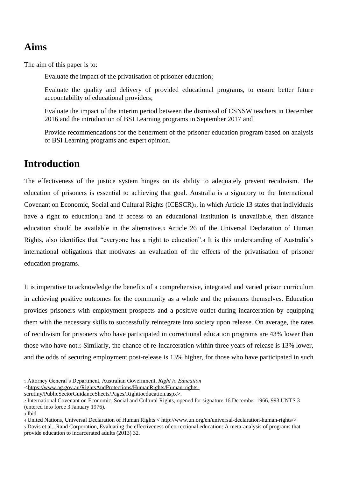### **Aims**

The aim of this paper is to:

Evaluate the impact of the privatisation of prisoner education;

Evaluate the quality and delivery of provided educational programs, to ensure better future accountability of educational providers;

Evaluate the impact of the interim period between the dismissal of CSNSW teachers in December 2016 and the introduction of BSI Learning programs in September 2017 and

Provide recommendations for the betterment of the prisoner education program based on analysis of BSI Learning programs and expert opinion.

### **Introduction**

The effectiveness of the justice system hinges on its ability to adequately prevent recidivism. The education of prisoners is essential to achieving that goal. Australia is a signatory to the International Covenant on Economic, Social and Cultural Rights (ICESCR)1, in which Article 13 states that individuals have a right to education, a and if access to an educational institution is unavailable, then distance education should be available in the alternative.<sup>3</sup> Article 26 of the Universal Declaration of Human Rights, also identifies that "everyone has a right to education".<sup>4</sup> It is this understanding of Australia's international obligations that motivates an evaluation of the effects of the privatisation of prisoner education programs.

It is imperative to acknowledge the benefits of a comprehensive, integrated and varied prison curriculum in achieving positive outcomes for the community as a whole and the prisoners themselves. Education provides prisoners with employment prospects and a positive outlet during incarceration by equipping them with the necessary skills to successfully reintegrate into society upon release. On average, the rates of recidivism for prisoners who have participated in correctional education programs are 43% lower than those who have not.<sup>5</sup> Similarly, the chance of re-incarceration within three years of release is 13% lower, and the odds of securing employment post-release is 13% higher, for those who have participated in such

<sup>5</sup> Davis et al., Rand Corporation, Evaluating the effectiveness of correctional education: A meta-analysis of programs that provide education to incarcerated adults (2013) 32.

<sup>1</sup> Attorney General's Department, Australian Government, *Right to Education <*[https://www.ag.gov.au/RightsAndProtections/HumanRights/Human-rights-](https://www.ag.gov.au/RightsAndProtections/HumanRights/Human-rights-scrutiny/PublicSectorGuidanceSheets/Pages/Righttoeducation.aspx)

[scrutiny/PublicSectorGuidanceSheets/Pages/Righttoeducation.aspx>](https://www.ag.gov.au/RightsAndProtections/HumanRights/Human-rights-scrutiny/PublicSectorGuidanceSheets/Pages/Righttoeducation.aspx).

<sup>2</sup> International Covenant on Economic, Social and Cultural Rights, opened for signature 16 December 1966, 993 UNTS 3 (entered into force 3 January 1976).

<sup>3</sup> Ibid.

<sup>4</sup> United Nations, Universal Declaration of Human Rights < http://www.un.org/en/universal-declaration-human-rights/>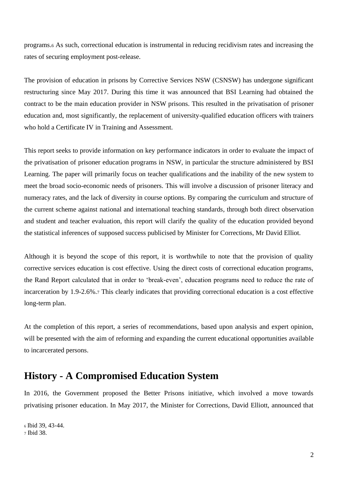programs.<sup>6</sup> As such, correctional education is instrumental in reducing recidivism rates and increasing the rates of securing employment post-release.

The provision of education in prisons by Corrective Services NSW (CSNSW) has undergone significant restructuring since May 2017. During this time it was announced that BSI Learning had obtained the contract to be the main education provider in NSW prisons. This resulted in the privatisation of prisoner education and, most significantly, the replacement of university-qualified education officers with trainers who hold a Certificate IV in Training and Assessment.

This report seeks to provide information on key performance indicators in order to evaluate the impact of the privatisation of prisoner education programs in NSW, in particular the structure administered by BSI Learning. The paper will primarily focus on teacher qualifications and the inability of the new system to meet the broad socio-economic needs of prisoners. This will involve a discussion of prisoner literacy and numeracy rates, and the lack of diversity in course options. By comparing the curriculum and structure of the current scheme against national and international teaching standards, through both direct observation and student and teacher evaluation, this report will clarify the quality of the education provided beyond the statistical inferences of supposed success publicised by Minister for Corrections, Mr David Elliot.

Although it is beyond the scope of this report, it is worthwhile to note that the provision of quality corrective services education is cost effective. Using the direct costs of correctional education programs, the Rand Report calculated that in order to 'break-even', education programs need to reduce the rate of incarceration by 1.9-2.6%.<sup>7</sup> This clearly indicates that providing correctional education is a cost effective long-term plan.

At the completion of this report, a series of recommendations, based upon analysis and expert opinion, will be presented with the aim of reforming and expanding the current educational opportunities available to incarcerated persons.

### **History - A Compromised Education System**

In 2016, the Government proposed the Better Prisons initiative, which involved a move towards privatising prisoner education. In May 2017, the Minister for Corrections, David Elliott, announced that

```
6 Ibid 39, 43-44.
7 Ibid 38.
```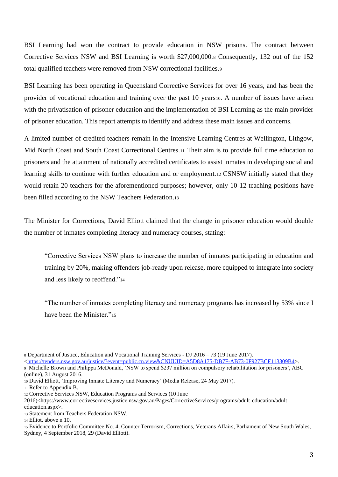BSI Learning had won the contract to provide education in NSW prisons. The contract between Corrective Services NSW and BSI Learning is worth \$27,000,000.<sup>8</sup> Consequently, 132 out of the 152 total qualified teachers were removed from NSW correctional facilities.<sup>9</sup>

BSI Learning has been operating in Queensland Corrective Services for over 16 years, and has been the provider of vocational education and training over the past 10 years10. A number of issues have arisen with the privatisation of prisoner education and the implementation of BSI Learning as the main provider of prisoner education. This report attempts to identify and address these main issues and concerns.

A limited number of credited teachers remain in the Intensive Learning Centres at Wellington, Lithgow, Mid North Coast and South Coast Correctional Centres.<sup>11</sup> Their aim is to provide full time education to prisoners and the attainment of nationally accredited certificates to assist inmates in developing social and learning skills to continue with further education and or employment.<sup>12</sup> CSNSW initially stated that they would retain 20 teachers for the aforementioned purposes; however, only 10-12 teaching positions have been filled according to the NSW Teachers Federation.<sup>13</sup>

The Minister for Corrections, David Elliott claimed that the change in prisoner education would double the number of inmates completing literacy and numeracy courses, stating:

"Corrective Services NSW plans to increase the number of inmates participating in education and training by 20%, making offenders job-ready upon release, more equipped to integrate into society and less likely to reoffend."<sup>14</sup>

"The number of inmates completing literacy and numeracy programs has increased by 53% since I have been the Minister."<sup>15</sup>

<sup>10</sup> David Elliott, 'Improving Inmate Literacy and Numeracy' (Media Release, 24 May 2017).

<sup>8</sup> Department of Justice, Education and Vocational Training Services - DJ 2016 – 73 (19 June 2017).

[<sup>&</sup>lt;https://tenders.nsw.gov.au/justice/?event=public.cn.view&CNUUID=A5D8A175-DB7F-AB73-0F927BCF113309B4>](https://tenders.nsw.gov.au/justice/?event=public.cn.view&CNUUID=A5D8A175-DB7F-AB73-0F927BCF113309B4).

<sup>9</sup> [Michelle Brown](http://www.abc.net.au/news/michelle-brown/6973502) and Philippa McDonald, 'NSW to spend \$237 million on compulsory rehabilitation for prisoners', ABC (online), 31 August 2016.

<sup>11</sup> Refer to Appendix B.

<sup>12</sup> Corrective Services NSW, Education Programs and Services (10 June

<sup>2016)&</sup>lt;https://www.correctiveservices.justice.nsw.gov.au/Pages/CorrectiveServices/programs/adult-education/adulteducation.aspx>.

<sup>13</sup> Statement from Teachers Federation NSW.

<sup>14</sup> Elliot, above n 10.

<sup>15</sup> Evidence to Portfolio Committee No. 4, Counter Terrorism, Corrections, Veterans Affairs, Parliament of New South Wales, Sydney, 4 September 2018, 29 (David Elliott).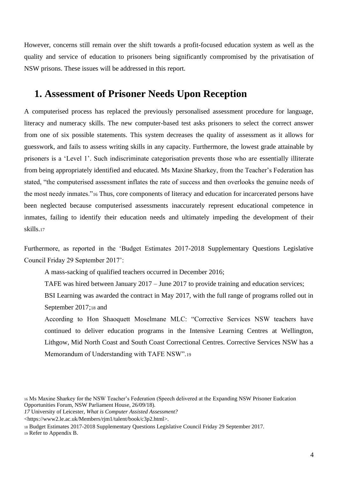However, concerns still remain over the shift towards a profit-focused education system as well as the quality and service of education to prisoners being significantly compromised by the privatisation of NSW prisons. These issues will be addressed in this report.

### **1. Assessment of Prisoner Needs Upon Reception**

A computerised process has replaced the previously personalised assessment procedure for language, literacy and numeracy skills. The new computer-based test asks prisoners to select the correct answer from one of six possible statements. This system decreases the quality of assessment as it allows for guesswork, and fails to assess writing skills in any capacity. Furthermore, the lowest grade attainable by prisoners is a 'Level 1'. Such indiscriminate categorisation prevents those who are essentially illiterate from being appropriately identified and educated. Ms Maxine Sharkey, from the Teacher's Federation has stated, "the computerised assessment inflates the rate of success and then overlooks the genuine needs of the most needy inmates."<sup>16</sup> Thus, core components of literacy and education for incarcerated persons have been neglected because computerised assessments inaccurately represent educational competence in inmates, failing to identify their education needs and ultimately impeding the development of their skills.<sup>17</sup>

Furthermore, as reported in the 'Budget Estimates 2017-2018 Supplementary Questions Legislative Council Friday 29 September 2017':

A mass-sacking of qualified teachers occurred in December 2016;

TAFE was hired between January 2017 – June 2017 to provide training and education services;

BSI Learning was awarded the contract in May 2017, with the full range of programs rolled out in September 2017;<sup>18</sup> and

According to Hon Shaoquett Moselmane MLC: "Corrective Services NSW teachers have continued to deliver education programs in the Intensive Learning Centres at Wellington, Lithgow, Mid North Coast and South Coast Correctional Centres. Corrective Services NSW has a Memorandum of Understanding with TAFE NSW".<sup>19</sup>

<sup>16</sup> Ms Maxine Sharkey for the NSW Teacher's Federation (Speech delivered at the Expanding NSW Prisoner Eudcation Opportunities Forum, NSW Parliament House, 26/09/18).

*<sup>17</sup>* University of Leicester, *What is Computer Assisted Assessment?* 

<sup>&</sup>lt;https://www2.le.ac.uk/Members/rjm1/talent/book/c3p2.html>.

<sup>18</sup> Budget Estimates 2017-2018 Supplementary Questions Legislative Council Friday 29 September 2017.

<sup>19</sup> Refer to Appendix B.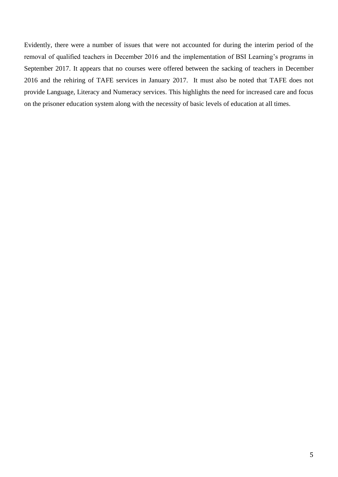Evidently, there were a number of issues that were not accounted for during the interim period of the removal of qualified teachers in December 2016 and the implementation of BSI Learning's programs in September 2017. It appears that no courses were offered between the sacking of teachers in December 2016 and the rehiring of TAFE services in January 2017. It must also be noted that TAFE does not provide Language, Literacy and Numeracy services. This highlights the need for increased care and focus on the prisoner education system along with the necessity of basic levels of education at all times.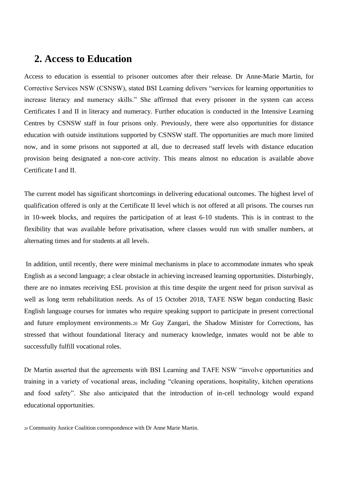### **2. Access to Education**

Access to education is essential to prisoner outcomes after their release. Dr Anne-Marie Martin, for Corrective Services NSW (CSNSW), stated BSI Learning delivers "services for learning opportunities to increase literacy and numeracy skills." She affirmed that every prisoner in the system can access Certificates I and II in literacy and numeracy. Further education is conducted in the Intensive Learning Centres by CSNSW staff in four prisons only. Previously, there were also opportunities for distance education with outside institutions supported by CSNSW staff. The opportunities are much more limited now, and in some prisons not supported at all, due to decreased staff levels with distance education provision being designated a non-core activity. This means almost no education is available above Certificate I and II.

The current model has significant shortcomings in delivering educational outcomes. The highest level of qualification offered is only at the Certificate II level which is not offered at all prisons. The courses run in 10-week blocks, and requires the participation of at least 6-10 students. This is in contrast to the flexibility that was available before privatisation, where classes would run with smaller numbers, at alternating times and for students at all levels.

In addition, until recently, there were minimal mechanisms in place to accommodate inmates who speak English as a second language; a clear obstacle in achieving increased learning opportunities. Disturbingly, there are no inmates receiving ESL provision at this time despite the urgent need for prison survival as well as long term rehabilitation needs. As of 15 October 2018, TAFE NSW began conducting Basic English language courses for inmates who require speaking support to participate in present correctional and future employment environments.<sup>20</sup> Mr Guy Zangari, the Shadow Minister for Corrections, has stressed that without foundational literacy and numeracy knowledge, inmates would not be able to successfully fulfill vocational roles.

Dr Martin asserted that the agreements with BSI Learning and TAFE NSW "involve opportunities and training in a variety of vocational areas, including "cleaning operations, hospitality, kitchen operations and food safety". She also anticipated that the introduction of in-cell technology would expand educational opportunities.

<sup>20</sup> Community Justice Coalition correspondence with Dr Anne Marie Martin.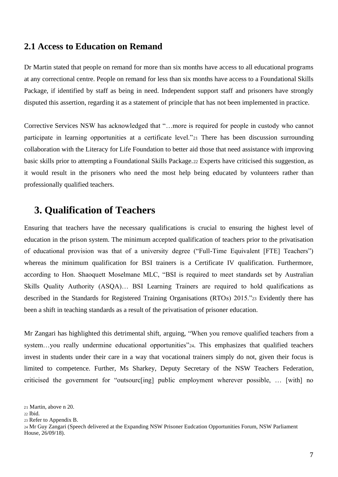#### **2.1 Access to Education on Remand**

Dr Martin stated that people on remand for more than six months have access to all educational programs at any correctional centre. People on remand for less than six months have access to a Foundational Skills Package, if identified by staff as being in need. Independent support staff and prisoners have strongly disputed this assertion, regarding it as a statement of principle that has not been implemented in practice.

Corrective Services NSW has acknowledged that "…more is required for people in custody who cannot participate in learning opportunities at a certificate level."<sup>21</sup> There has been discussion surrounding collaboration with the Literacy for Life Foundation to better aid those that need assistance with improving basic skills prior to attempting a Foundational Skills Package.<sup>22</sup> Experts have criticised this suggestion, as it would result in the prisoners who need the most help being educated by volunteers rather than professionally qualified teachers.

### **3. Qualification of Teachers**

Ensuring that teachers have the necessary qualifications is crucial to ensuring the highest level of education in the prison system. The minimum accepted qualification of teachers prior to the privatisation of educational provision was that of a university degree ("Full-Time Equivalent [FTE] Teachers") whereas the minimum qualification for BSI trainers is a Certificate IV qualification. Furthermore, according to Hon. Shaoquett Moselmane MLC, "BSI is required to meet standards set by Australian Skills Quality Authority (ASQA)… BSI Learning Trainers are required to hold qualifications as described in the Standards for Registered Training Organisations (RTOs) 2015."<sup>23</sup> Evidently there has been a shift in teaching standards as a result of the privatisation of prisoner education.

Mr Zangari has highlighted this detrimental shift, arguing, "When you remove qualified teachers from a system...you really undermine educational opportunities" 24. This emphasizes that qualified teachers invest in students under their care in a way that vocational trainers simply do not, given their focus is limited to competence. Further, Ms Sharkey, Deputy Secretary of the NSW Teachers Federation, criticised the government for "outsourc[ing] public employment wherever possible, … [with] no

<sup>21</sup> Martin, above n 20.

<sup>22</sup> Ibid.

<sup>23</sup> Refer to Appendix B.

<sup>24</sup> Mr Guy Zangari (Speech delivered at the Expanding NSW Prisoner Eudcation Opportunities Forum, NSW Parliament House, 26/09/18).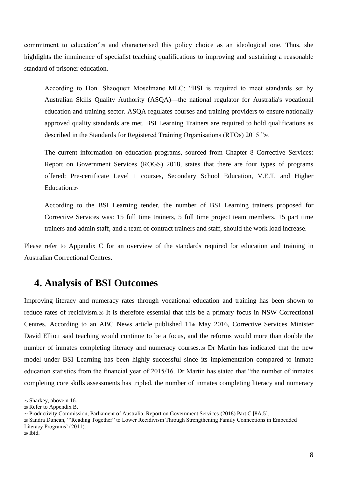commitment to education"<sup>25</sup> and characterised this policy choice as an ideological one. Thus, she highlights the imminence of specialist teaching qualifications to improving and sustaining a reasonable standard of prisoner education.

According to Hon. Shaoquett Moselmane MLC: "BSI is required to meet standards set by Australian Skills Quality Authority (ASQA)—the national regulator for Australia's vocational education and training sector. ASQA regulates courses and training providers to ensure nationally approved quality standards are met. BSI Learning Trainers are required to hold qualifications as described in the Standards for Registered Training Organisations (RTOs) 2015."<sup>26</sup>

The current information on education programs, sourced from Chapter 8 Corrective Services: Report on Government Services (ROGS) 2018, states that there are four types of programs offered: Pre-certificate Level 1 courses, Secondary School Education, V.E.T, and Higher Education.<sub>27</sub>

According to the BSI Learning tender, the number of BSI Learning trainers proposed for Corrective Services was: 15 full time trainers, 5 full time project team members, 15 part time trainers and admin staff, and a team of contract trainers and staff, should the work load increase.

Please refer to Appendix C for an overview of the standards required for education and training in Australian Correctional Centres.

### **4. Analysis of BSI Outcomes**

Improving literacy and numeracy rates through vocational education and training has been shown to reduce rates of recidivism.<sup>28</sup> It is therefore essential that this be a primary focus in NSW Correctional Centres. According to an ABC News article published 11th May 2016, Corrective Services Minister David Elliott said teaching would continue to be a focus, and the reforms would more than double the number of inmates completing literacy and numeracy courses.<sup>29</sup> Dr Martin has indicated that the new model under BSI Learning has been highly successful since its implementation compared to inmate education statistics from the financial year of 2015/16. Dr Martin has stated that "the number of inmates completing core skills assessments has tripled, the number of inmates completing literacy and numeracy

<sup>25</sup> Sharkey, above n 16.

<sup>26</sup> Refer to Appendix B.

<sup>27</sup> Productivity Commission, Parliament of Australia, Report on Government Services (2018) Part C [8A.5].

<sup>28</sup> Sandra Duncan, '"Reading Together" to Lower Recidivism Through Strengthening Family Connections in Embedded Literacy Programs' (2011).

<sup>29</sup> Ibid.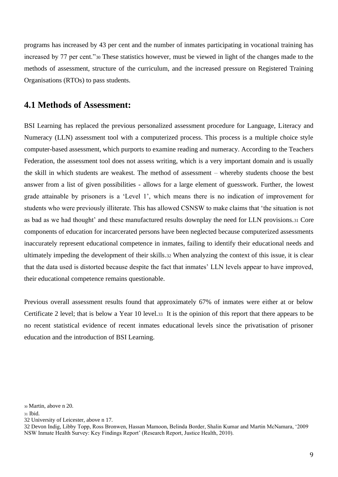programs has increased by 43 per cent and the number of inmates participating in vocational training has increased by 77 per cent."<sup>30</sup> These statistics however, must be viewed in light of the changes made to the methods of assessment, structure of the curriculum, and the increased pressure on Registered Training Organisations (RTOs) to pass students.

#### **4.1 Methods of Assessment:**

BSI Learning has replaced the previous personalized assessment procedure for Language, Literacy and Numeracy (LLN) assessment tool with a computerized process. This process is a multiple choice style computer-based assessment, which purports to examine reading and numeracy. According to the Teachers Federation, the assessment tool does not assess writing, which is a very important domain and is usually the skill in which students are weakest. The method of assessment – whereby students choose the best answer from a list of given possibilities - allows for a large element of guesswork. Further, the lowest grade attainable by prisoners is a 'Level 1', which means there is no indication of improvement for students who were previously illiterate. This has allowed CSNSW to make claims that 'the situation is not as bad as we had thought' and these manufactured results downplay the need for LLN provisions.<sup>31</sup> Core components of education for incarcerated persons have been neglected because computerized assessments inaccurately represent educational competence in inmates, failing to identify their educational needs and ultimately impeding the development of their skills.<sup>32</sup> When analyzing the context of this issue, it is clear that the data used is distorted because despite the fact that inmates' LLN levels appear to have improved, their educational competence remains questionable.

Previous overall assessment results found that approximately 67% of inmates were either at or below Certificate 2 level; that is below a Year 10 level.33 It is the opinion of this report that there appears to be no recent statistical evidence of recent inmates educational levels since the privatisation of prisoner education and the introduction of BSI Learning.

<sup>30</sup> Martin, above n 20.

<sup>31</sup> Ibid.

<sup>32</sup> University of Leicester*,* above n 17.

<sup>32</sup> Devon Indig, Libby Topp, Ross Bronwen, Hassan Mamoon, Belinda Border, Shalin Kumar and Martin McNamara, '2009 NSW Inmate Health Survey: Key Findings Report' (Research Report, Justice Health, 2010).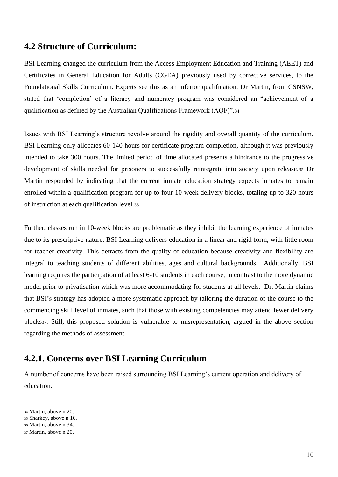#### **4.2 Structure of Curriculum:**

BSI Learning changed the curriculum from the Access Employment Education and Training (AEET) and Certificates in General Education for Adults (CGEA) previously used by corrective services, to the Foundational Skills Curriculum. Experts see this as an inferior qualification. Dr Martin, from CSNSW, stated that 'completion' of a literacy and numeracy program was considered an "achievement of a qualification as defined by the Australian Qualifications Framework (AQF)".<sup>34</sup>

Issues with BSI Learning's structure revolve around the rigidity and overall quantity of the curriculum. BSI Learning only allocates 60-140 hours for certificate program completion, although it was previously intended to take 300 hours. The limited period of time allocated presents a hindrance to the progressive development of skills needed for prisoners to successfully reintegrate into society upon release.<sup>35</sup> Dr Martin responded by indicating that the current inmate education strategy expects inmates to remain enrolled within a qualification program for up to four 10-week delivery blocks, totaling up to 320 hours of instruction at each qualification level.<sup>36</sup>

Further, classes run in 10-week blocks are problematic as they inhibit the learning experience of inmates due to its prescriptive nature. BSI Learning delivers education in a linear and rigid form, with little room for teacher creativity. This detracts from the quality of education because creativity and flexibility are integral to teaching students of different abilities, ages and cultural backgrounds. Additionally, BSI learning requires the participation of at least 6-10 students in each course, in contrast to the more dynamic model prior to privatisation which was more accommodating for students at all levels. Dr. Martin claims that BSI's strategy has adopted a more systematic approach by tailoring the duration of the course to the commencing skill level of inmates, such that those with existing competencies may attend fewer delivery blocks37. Still, this proposed solution is vulnerable to misrepresentation, argued in the above section regarding the methods of assessment.

#### **4.2.1. Concerns over BSI Learning Curriculum**

A number of concerns have been raised surrounding BSI Learning's current operation and delivery of education.

<sup>34</sup> Martin, above n 20.

<sup>36</sup> Martin, above n 34.

<sup>35</sup> Sharkey, above n 16.

<sup>37</sup> Martin, above n 20.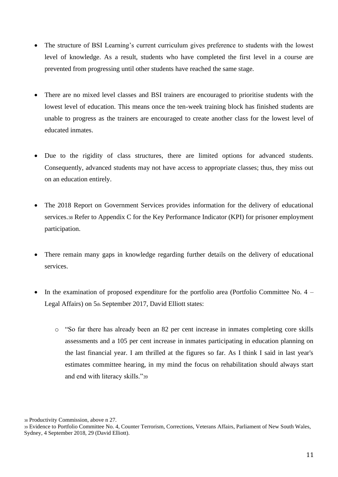- The structure of BSI Learning's current curriculum gives preference to students with the lowest level of knowledge. As a result, students who have completed the first level in a course are prevented from progressing until other students have reached the same stage.
- There are no mixed level classes and BSI trainers are encouraged to prioritise students with the lowest level of education. This means once the ten-week training block has finished students are unable to progress as the trainers are encouraged to create another class for the lowest level of educated inmates.
- Due to the rigidity of class structures, there are limited options for advanced students. Consequently, advanced students may not have access to appropriate classes; thus, they miss out on an education entirely.
- The 2018 Report on Government Services provides information for the delivery of educational services.<sup>38</sup> Refer to Appendix C for the Key Performance Indicator (KPI) for prisoner employment participation.
- There remain many gaps in knowledge regarding further details on the delivery of educational services.
- In the examination of proposed expenditure for the portfolio area (Portfolio Committee No. 4 Legal Affairs) on 5th September 2017, David Elliott states:
	- o "So far there has already been an 82 per cent increase in inmates completing core skills assessments and a 105 per cent increase in inmates participating in education planning on the last financial year. I am thrilled at the figures so far. As I think I said in last year's estimates committee hearing, in my mind the focus on rehabilitation should always start and end with literacy skills."<sup>39</sup>

<sup>38</sup> Productivity Commission, above n 27.

<sup>39</sup> Evidence to Portfolio Committee No. 4, Counter Terrorism, Corrections, Veterans Affairs, Parliament of New South Wales, Sydney, 4 September 2018, 29 (David Elliott).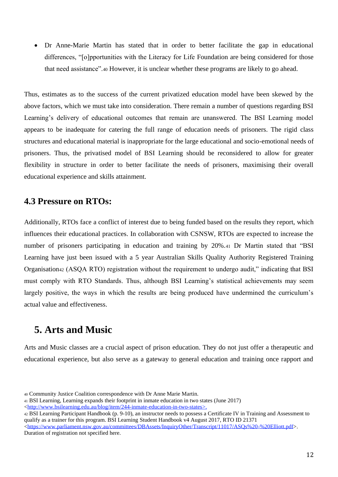• Dr Anne-Marie Martin has stated that in order to better facilitate the gap in educational differences, "[o]pportunities with the Literacy for Life Foundation are being considered for those that need assistance".<sup>40</sup> However, it is unclear whether these programs are likely to go ahead.

Thus, estimates as to the success of the current privatized education model have been skewed by the above factors, which we must take into consideration. There remain a number of questions regarding BSI Learning's delivery of educational outcomes that remain are unanswered. The BSI Learning model appears to be inadequate for catering the full range of education needs of prisoners. The rigid class structures and educational material is inappropriate for the large educational and socio-emotional needs of prisoners. Thus, the privatised model of BSI Learning should be reconsidered to allow for greater flexibility in structure in order to better facilitate the needs of prisoners, maximising their overall educational experience and skills attainment.

#### **4.3 Pressure on RTOs:**

Additionally, RTOs face a conflict of interest due to being funded based on the results they report, which influences their educational practices. In collaboration with CSNSW, RTOs are expected to increase the number of prisoners participating in education and training by 20%.<sup>41</sup> Dr Martin stated that "BSI Learning have just been issued with a 5 year Australian Skills Quality Authority Registered Training Organisation<sup>42</sup> (ASQA RTO) registration without the requirement to undergo audit," indicating that BSI must comply with RTO Standards. Thus, although BSI Learning's statistical achievements may seem largely positive, the ways in which the results are being produced have undermined the curriculum's actual value and effectiveness.

### **5. Arts and Music**

Arts and Music classes are a crucial aspect of prison education. They do not just offer a therapeutic and educational experience, but also serve as a gateway to general education and training once rapport and

<sup>40</sup> Community Justice Coalition correspondence with Dr Anne Marie Martin.

<sup>41</sup> BSI Learning, Learning expands their footprint in inmate education in two states (June 2017)

[<sup>&</sup>lt;http://www.bsilearning.edu.au/blog/item/244-inmate-education-in-two-states>](http://www.bsilearning.edu.au/blog/item/244-inmate-education-in-two-states).

<sup>42</sup> BSI Learning Participant Handbook (p. 9-10), an instructor needs to possess a Certificate IV in Training and Assessment to qualify as a trainer for this program. BSI Learning Student Handbook v4 August 2017, RTO ID 21371

[<sup>&</sup>lt;https://www.parliament.nsw.gov.au/committees/DBAssets/InquiryOther/Transcript/11017/ASQs%20-%20Elliott.pdf>](https://www.parliament.nsw.gov.au/committees/DBAssets/InquiryOther/Transcript/11017/ASQs%20-%20Elliott.pdf). Duration of registration not specified here.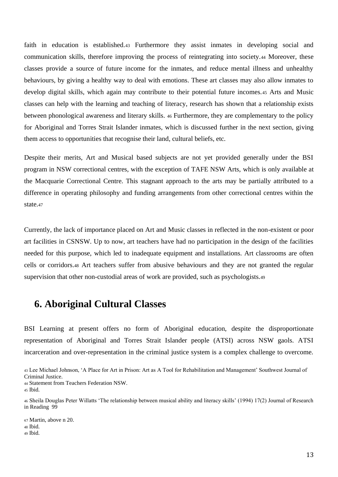faith in education is established.<sup>43</sup> Furthermore they assist inmates in developing social and communication skills, therefore improving the process of reintegrating into society.<sup>44</sup> Moreover, these classes provide a source of future income for the inmates, and reduce mental illness and unhealthy behaviours, by giving a healthy way to deal with emotions. These art classes may also allow inmates to develop digital skills, which again may contribute to their potential future incomes.<sup>45</sup> Arts and Music classes can help with the learning and teaching of literacy, research has shown that a relationship exists between phonological awareness and literary skills. <sup>46</sup> Furthermore, they are complementary to the policy for Aboriginal and Torres Strait Islander inmates, which is discussed further in the next section, giving them access to opportunities that recognise their land, cultural beliefs, etc.

Despite their merits, Art and Musical based subjects are not yet provided generally under the BSI program in NSW correctional centres, with the exception of TAFE NSW Arts, which is only available at the Macquarie Correctional Centre. This stagnant approach to the arts may be partially attributed to a difference in operating philosophy and funding arrangements from other correctional centres within the state.<sup>47</sup>

Currently, the lack of importance placed on Art and Music classes in reflected in the non-existent or poor art facilities in CSNSW. Up to now, art teachers have had no participation in the design of the facilities needed for this purpose, which led to inadequate equipment and installations. Art classrooms are often cells or corridors.<sup>48</sup> Art teachers suffer from abusive behaviours and they are not granted the regular supervision that other non-custodial areas of work are provided, such as psychologists.<sup>49</sup>

### **6. Aboriginal Cultural Classes**

BSI Learning at present offers no form of Aboriginal education, despite the disproportionate representation of Aboriginal and Torres Strait Islander people (ATSI) across NSW gaols. ATSI incarceration and over-representation in the criminal justice system is a complex challenge to overcome.

<sup>44</sup> Statement from Teachers Federation NSW.

<sup>47</sup> Martin, above n 20. <sup>48</sup> Ibid.

<sup>49</sup> Ibid.

<sup>43</sup> Lee Michael Johnson, 'A Place for Art in Prison: Art as A Tool for Rehabilitation and Management' Southwest Journal of Criminal Justice.

<sup>45</sup> Ibid.

<sup>46</sup> Sheila Douglas Peter Willatts 'The relationship between musical ability and literacy skills' (1994) 17(2) Journal of Research in Reading 99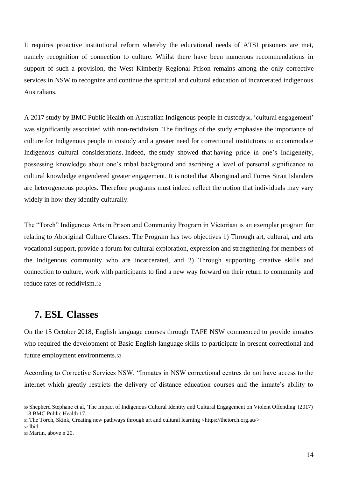It requires proactive institutional reform whereby the educational needs of ATSI prisoners are met, namely recognition of connection to culture. Whilst there have been numerous recommendations in support of such a provision, the West Kimberly Regional Prison remains among the only corrective services in NSW to recognize and continue the spiritual and cultural education of incarcerated indigenous Australians.

A 2017 study by BMC Public Health on Australian Indigenous people in custody50, 'cultural engagement' was significantly associated with non-recidivism. The findings of the study emphasise the importance of culture for Indigenous people in custody and a greater need for correctional institutions to accommodate Indigenous cultural considerations. Indeed, the study showed that having pride in one's Indigeneity, possessing knowledge about one's tribal background and ascribing a level of personal significance to cultural knowledge engendered greater engagement. It is noted that Aboriginal and Torres Strait Islanders are heterogeneous peoples. Therefore programs must indeed reflect the notion that individuals may vary widely in how they identify culturally.

The "Torch" Indigenous Arts in Prison and Community Program in Victoria<sup>51</sup> is an exemplar program for relating to Aboriginal Culture Classes. The Program has two objectives 1) Through art, cultural, and arts vocational support, provide a forum for cultural exploration, expression and strengthening for members of the Indigenous community who are incarcerated, and 2) Through supporting creative skills and connection to culture, work with participants to find a new way forward on their return to community and reduce rates of recidivism.<sup>52</sup>

### **7. ESL Classes**

On the 15 October 2018, English language courses through TAFE NSW commenced to provide inmates who required the development of Basic English language skills to participate in present correctional and future employment environments.<sup>53</sup>

According to Corrective Services NSW, "Inmates in NSW correctional centres do not have access to the internet which greatly restricts the delivery of distance education courses and the inmate's ability to

<sup>50</sup> Shepherd Stephane et al, 'The Impact of Indigenous Cultural Identity and Cultural Engagement on Violent Offending' (2017) 18 BMC Public Health 17.

<sup>51</sup> The Torch, Skink, Creating new pathways through art and cultural learning [<https://thetorch.org.au/>](https://thetorch.org.au/)

<sup>52</sup> Ibid.

<sup>53</sup> Martin, above n 20.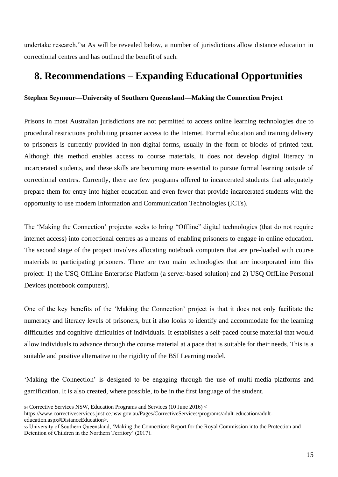undertake research."<sup>54</sup> As will be revealed below, a number of jurisdictions allow distance education in correctional centres and has outlined the benefit of such.

### **8. Recommendations – Expanding Educational Opportunities**

#### **Stephen Seymour—University of Southern Queensland—Making the Connection Project**

Prisons in most Australian jurisdictions are not permitted to access online learning technologies due to procedural restrictions prohibiting prisoner access to the Internet. Formal education and training delivery to prisoners is currently provided in non-digital forms, usually in the form of blocks of printed text. Although this method enables access to course materials, it does not develop digital literacy in incarcerated students, and these skills are becoming more essential to pursue formal learning outside of correctional centres. Currently, there are few programs offered to incarcerated students that adequately prepare them for entry into higher education and even fewer that provide incarcerated students with the opportunity to use modern Information and Communication Technologies (ICTs).

The 'Making the Connection' projects seeks to bring "Offline" digital technologies (that do not require internet access) into correctional centres as a means of enabling prisoners to engage in online education. The second stage of the project involves allocating notebook computers that are pre-loaded with course materials to participating prisoners. There are two main technologies that are incorporated into this project: 1) the USQ OffLine Enterprise Platform (a server-based solution) and 2) USQ OffLine Personal Devices (notebook computers).

One of the key benefits of the 'Making the Connection' project is that it does not only facilitate the numeracy and literacy levels of prisoners, but it also looks to identify and accommodate for the learning difficulties and cognitive difficulties of individuals. It establishes a self-paced course material that would allow individuals to advance through the course material at a pace that is suitable for their needs. This is a suitable and positive alternative to the rigidity of the BSI Learning model.

'Making the Connection' is designed to be engaging through the use of multi-media platforms and gamification. It is also created, where possible, to be in the first language of the student.

<sup>54</sup> Corrective Services NSW, Education Programs and Services (10 June 2016) <

https://www.correctiveservices.justice.nsw.gov.au/Pages/CorrectiveServices/programs/adult-education/adulteducation.aspx#DistanceEducation>.

<sup>55</sup> University of Southern Queensland, 'Making the Connection: Report for the Royal Commission into the Protection and Detention of Children in the Northern Territory' (2017).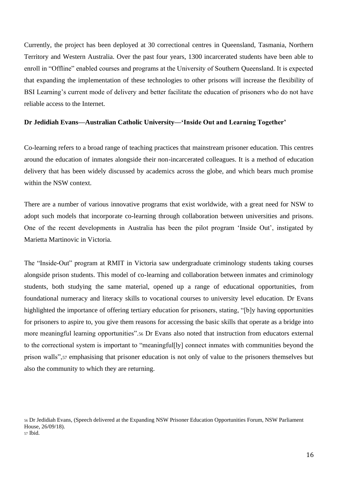Currently, the project has been deployed at 30 correctional centres in Queensland, Tasmania, Northern Territory and Western Australia. Over the past four years, 1300 incarcerated students have been able to enroll in "Offline" enabled courses and programs at the University of Southern Queensland. It is expected that expanding the implementation of these technologies to other prisons will increase the flexibility of BSI Learning's current mode of delivery and better facilitate the education of prisoners who do not have reliable access to the Internet.

#### **Dr Jedidiah Evans—Australian Catholic University—'Inside Out and Learning Together'**

Co-learning refers to a broad range of teaching practices that mainstream prisoner education. This centres around the education of inmates alongside their non-incarcerated colleagues. It is a method of education delivery that has been widely discussed by academics across the globe, and which bears much promise within the NSW context.

There are a number of various innovative programs that exist worldwide, with a great need for NSW to adopt such models that incorporate co-learning through collaboration between universities and prisons. One of the recent developments in Australia has been the pilot program 'Inside Out', instigated by Marietta Martinovic in Victoria.

The "Inside-Out" program at RMIT in Victoria saw undergraduate criminology students taking courses alongside prison students. This model of co-learning and collaboration between inmates and criminology students, both studying the same material, opened up a range of educational opportunities, from foundational numeracy and literacy skills to vocational courses to university level education. Dr Evans highlighted the importance of offering tertiary education for prisoners, stating, "[b]y having opportunities for prisoners to aspire to, you give them reasons for accessing the basic skills that operate as a bridge into more meaningful learning opportunities".<sup>56</sup> Dr Evans also noted that instruction from educators external to the correctional system is important to "meaningful[ly] connect inmates with communities beyond the prison walls",<sup>57</sup> emphasising that prisoner education is not only of value to the prisoners themselves but also the community to which they are returning.

<sup>56</sup> Dr Jedidiah Evans, (Speech delivered at the Expanding NSW Prisoner Education Opportunities Forum, NSW Parliament House, 26/09/18). <sup>57</sup> Ibid.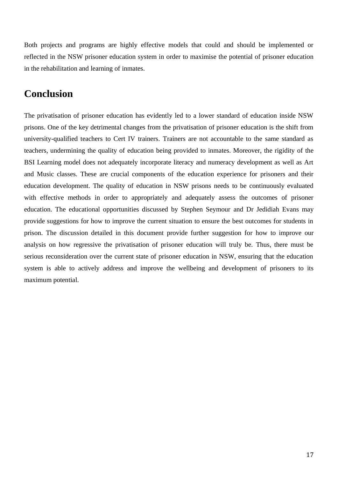Both projects and programs are highly effective models that could and should be implemented or reflected in the NSW prisoner education system in order to maximise the potential of prisoner education in the rehabilitation and learning of inmates.

### **Conclusion**

The privatisation of prisoner education has evidently led to a lower standard of education inside NSW prisons. One of the key detrimental changes from the privatisation of prisoner education is the shift from university-qualified teachers to Cert IV trainers. Trainers are not accountable to the same standard as teachers, undermining the quality of education being provided to inmates. Moreover, the rigidity of the BSI Learning model does not adequately incorporate literacy and numeracy development as well as Art and Music classes. These are crucial components of the education experience for prisoners and their education development. The quality of education in NSW prisons needs to be continuously evaluated with effective methods in order to appropriately and adequately assess the outcomes of prisoner education. The educational opportunities discussed by Stephen Seymour and Dr Jedidiah Evans may provide suggestions for how to improve the current situation to ensure the best outcomes for students in prison. The discussion detailed in this document provide further suggestion for how to improve our analysis on how regressive the privatisation of prisoner education will truly be. Thus, there must be serious reconsideration over the current state of prisoner education in NSW, ensuring that the education system is able to actively address and improve the wellbeing and development of prisoners to its maximum potential.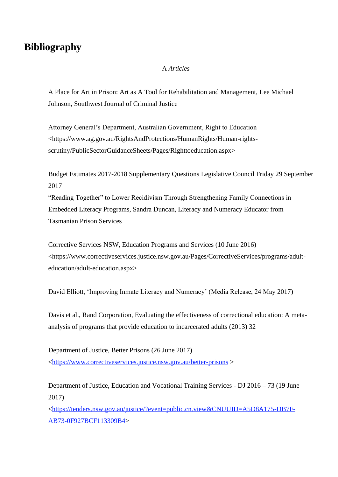### **Bibliography**

#### A *Articles*

A Place for Art in Prison: Art as A Tool for Rehabilitation and Management, Lee Michael Johnson, Southwest Journal of Criminal Justice

Attorney General's Department, Australian Government, Right to Education <https://www.ag.gov.au/RightsAndProtections/HumanRights/Human-rightsscrutiny/PublicSectorGuidanceSheets/Pages/Righttoeducation.aspx>

Budget Estimates 2017-2018 Supplementary Questions Legislative Council Friday 29 September 2017

"Reading Together" to Lower Recidivism Through Strengthening Family Connections in Embedded Literacy Programs, Sandra Duncan, Literacy and Numeracy Educator from Tasmanian Prison Services

Corrective Services NSW, Education Programs and Services (10 June 2016) <https://www.correctiveservices.justice.nsw.gov.au/Pages/CorrectiveServices/programs/adulteducation/adult-education.aspx>

David Elliott, 'Improving Inmate Literacy and Numeracy' (Media Release, 24 May 2017)

Davis et al., Rand Corporation, Evaluating the effectiveness of correctional education: A metaanalysis of programs that provide education to incarcerated adults (2013) 32

Department of Justice, Better Prisons (26 June 2017) [<https://www.correctiveservices.justice.nsw.gov.au/better-prisons](https://www.correctiveservices.justice.nsw.gov.au/better-prisons) >

Department of Justice, Education and Vocational Training Services - DJ 2016 – 73 (19 June 2017)

[<https://tenders.nsw.gov.au/justice/?event=public.cn.view&CNUUID=A5D8A175-DB7F-](https://tenders.nsw.gov.au/justice/?event=public.cn.view&CNUUID=A5D8A175-DB7F-AB73-0F927BCF113309B4)[AB73-0F927BCF113309B4>](https://tenders.nsw.gov.au/justice/?event=public.cn.view&CNUUID=A5D8A175-DB7F-AB73-0F927BCF113309B4)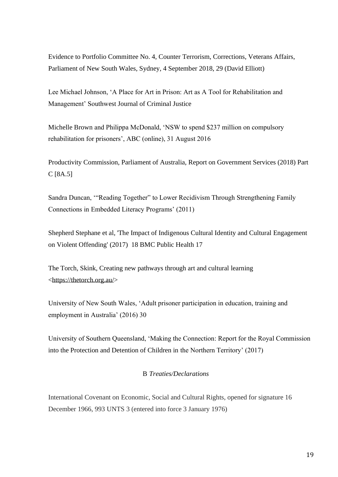Evidence to Portfolio Committee No. 4, Counter Terrorism, Corrections, Veterans Affairs, Parliament of New South Wales, Sydney, 4 September 2018, 29 (David Elliott)

Lee Michael Johnson, 'A Place for Art in Prison: Art as A Tool for Rehabilitation and Management' Southwest Journal of Criminal Justice

[Michelle Brown](http://www.abc.net.au/news/michelle-brown/6973502) and Philippa McDonald, 'NSW to spend \$237 million on compulsory rehabilitation for prisoners', ABC (online), 31 August 2016

Productivity Commission, Parliament of Australia, Report on Government Services (2018) Part C [8A.5]

Sandra Duncan, '"Reading Together" to Lower Recidivism Through Strengthening Family Connections in Embedded Literacy Programs' (2011)

Shepherd Stephane et al, 'The Impact of Indigenous Cultural Identity and Cultural Engagement on Violent Offending' (2017) 18 BMC Public Health 17

The Torch, Skink, Creating new pathways through art and cultural learning [<https://thetorch.org.au/>](https://thetorch.org.au/)

University of New South Wales, 'Adult prisoner participation in education, training and employment in Australia' (2016) 30

University of Southern Queensland, 'Making the Connection: Report for the Royal Commission into the Protection and Detention of Children in the Northern Territory' (2017)

#### B *Treaties/Declarations*

International Covenant on Economic, Social and Cultural Rights, opened for signature 16 December 1966, 993 UNTS 3 (entered into force 3 January 1976)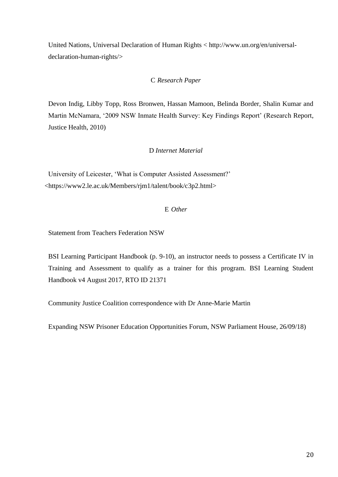United Nations, Universal Declaration of Human Rights < http://www.un.org/en/universaldeclaration-human-rights/>

#### C *Research Paper*

Devon Indig, Libby Topp, Ross Bronwen, Hassan Mamoon, Belinda Border, Shalin Kumar and Martin McNamara, '2009 NSW Inmate Health Survey: Key Findings Report' (Research Report, Justice Health, 2010)

#### D *Internet Material*

University of Leicester, 'What is Computer Assisted Assessment?' <https://www2.le.ac.uk/Members/rjm1/talent/book/c3p2.html>

#### E *Other*

Statement from Teachers Federation NSW

BSI Learning Participant Handbook (p. 9-10), an instructor needs to possess a Certificate IV in Training and Assessment to qualify as a trainer for this program. BSI Learning Student Handbook v4 August 2017, RTO ID 21371

Community Justice Coalition correspondence with Dr Anne-Marie Martin

Expanding NSW Prisoner Education Opportunities Forum, NSW Parliament House, 26/09/18)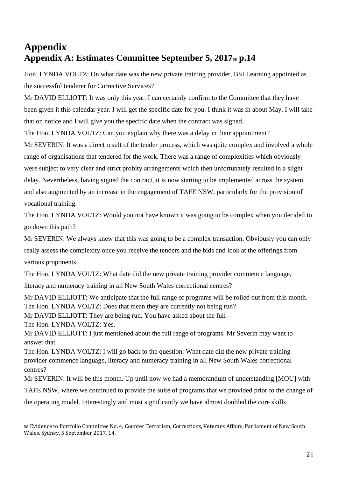### **Appendix Appendix A: Estimates Committee September 5, 2017<sup>58</sup> p.14**

Hon. LYNDA VOLTZ: On what date was the new private training provider, BSI Learning appointed as the successful tenderer for Corrective Services?

Mr DAVID ELLIOTT: It was only this year. I can certainly confirm to the Committee that they have been given it this calendar year. I will get the specific date for you. I think it was in about May. I will take that on notice and I will give you the specific date when the contract was signed.

The Hon. LYNDA VOLTZ: Can you explain why there was a delay in their appointment?

Mr SEVERIN: It was a direct result of the tender process, which was quite complex and involved a whole range of organisations that tendered for the work. There was a range of complexities which obviously were subject to very clear and strict probity arrangements which then unfortunately resulted in a slight delay. Nevertheless, having signed the contract, it is now starting to be implemented across the system and also augmented by an increase in the engagement of TAFE NSW, particularly for the provision of vocational training.

The Hon. LYNDA VOLTZ: Would you not have known it was going to be complex when you decided to go down this path?

Mr SEVERIN: We always knew that this was going to be a complex transaction. Obviously you can only really assess the complexity once you receive the tenders and the bids and look at the offerings from various proponents.

The Hon. LYNDA VOLTZ: What date did the new private training provider commence language,

literacy and numeracy training in all New South Wales correctional centres?

Mr DAVID ELLIOTT: We anticipate that the full range of programs will be rolled out from this month. The Hon. LYNDA VOLTZ: Does that mean they are currently not being run? Mr DAVID ELLIOTT: They are being run. You have asked about the full— The Hon. LYNDA VOLTZ: Yes.

Mr DAVID ELLIOTT: I just mentioned about the full range of programs. Mr Severin may want to answer that.

The Hon. LYNDA VOLTZ: I will go back to the question: What date did the new private training provider commence language, literacy and numeracy training in all New South Wales correctional centres?

Mr SEVERIN: It will be this month. Up until now we had a memorandum of understanding [MOU] with

TAFE NSW, where we continued to provide the suite of programs that we provided prior to the change of

the operating model. Interestingly and most significantly we have almost doubled the core skills

<sup>58</sup> Evidence to Portfolio Committee No. 4, Counter Terrorism, Corrections, Veterans Affairs, Parliament of New South Wales, Sydney, 5 September 2017, 14.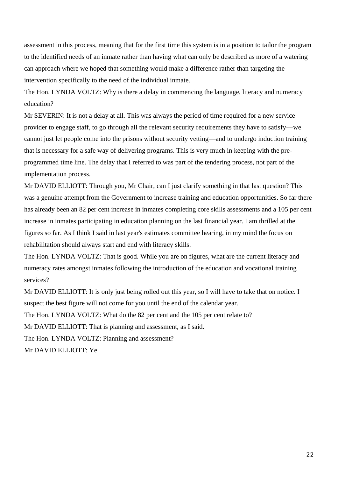assessment in this process, meaning that for the first time this system is in a position to tailor the program to the identified needs of an inmate rather than having what can only be described as more of a watering can approach where we hoped that something would make a difference rather than targeting the intervention specifically to the need of the individual inmate.

The Hon. LYNDA VOLTZ: Why is there a delay in commencing the language, literacy and numeracy education?

Mr SEVERIN: It is not a delay at all. This was always the period of time required for a new service provider to engage staff, to go through all the relevant security requirements they have to satisfy—we cannot just let people come into the prisons without security vetting—and to undergo induction training that is necessary for a safe way of delivering programs. This is very much in keeping with the preprogrammed time line. The delay that I referred to was part of the tendering process, not part of the implementation process.

Mr DAVID ELLIOTT: Through you, Mr Chair, can I just clarify something in that last question? This was a genuine attempt from the Government to increase training and education opportunities. So far there has already been an 82 per cent increase in inmates completing core skills assessments and a 105 per cent increase in inmates participating in education planning on the last financial year. I am thrilled at the figures so far. As I think I said in last year's estimates committee hearing, in my mind the focus on rehabilitation should always start and end with literacy skills.

The Hon. LYNDA VOLTZ: That is good. While you are on figures, what are the current literacy and numeracy rates amongst inmates following the introduction of the education and vocational training services?

Mr DAVID ELLIOTT: It is only just being rolled out this year, so I will have to take that on notice. I suspect the best figure will not come for you until the end of the calendar year.

The Hon. LYNDA VOLTZ: What do the 82 per cent and the 105 per cent relate to?

Mr DAVID ELLIOTT: That is planning and assessment, as I said.

The Hon. LYNDA VOLTZ: Planning and assessment?

Mr DAVID ELLIOTT: Ye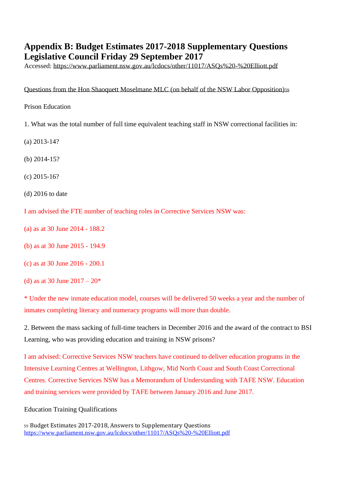### **Appendix B: Budget Estimates 2017-2018 Supplementary Questions Legislative Council Friday 29 September 2017**

Accessed:<https://www.parliament.nsw.gov.au/lcdocs/other/11017/ASQs%20-%20Elliott.pdf>

Questions from the Hon Shaoquett Moselmane MLC (on behalf of the NSW Labor Opposition)59

Prison Education

1. What was the total number of full time equivalent teaching staff in NSW correctional facilities in:

(a) 2013-14?

(b) 2014-15?

(c) 2015-16?

(d) 2016 to date

I am advised the FTE number of teaching roles in Corrective Services NSW was:

(a) as at 30 June 2014 - 188.2

(b) as at 30 June 2015 - 194.9

(c) as at 30 June 2016 - 200.1

(d) as at 30 June  $2017 - 20*$ 

\* Under the new inmate education model, courses will be delivered 50 weeks a year and the number of inmates completing literacy and numeracy programs will more than double.

2. Between the mass sacking of full-time teachers in December 2016 and the award of the contract to BSI Learning, who was providing education and training in NSW prisons?

I am advised: Corrective Services NSW teachers have continued to deliver education programs in the Intensive Learning Centres at Wellington, Lithgow, Mid North Coast and South Coast Correctional Centres. Corrective Services NSW has a Memorandum of Understanding with TAFE NSW. Education and training services were provided by TAFE between January 2016 and June 2017.

#### Education Training Qualifications

<sup>59</sup> Budget Estimates 2017-2018, Answers to Supplementary Questions <https://www.parliament.nsw.gov.au/lcdocs/other/11017/ASQs%20-%20Elliott.pdf>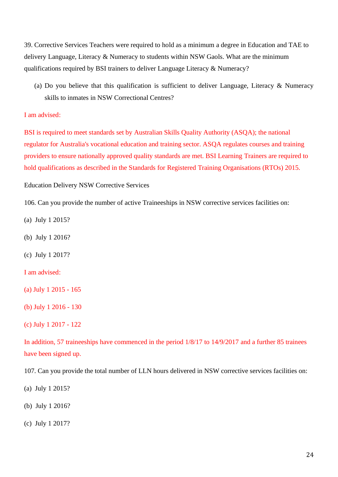39. Corrective Services Teachers were required to hold as a minimum a degree in Education and TAE to delivery Language, Literacy & Numeracy to students within NSW Gaols. What are the minimum qualifications required by BSI trainers to deliver Language Literacy & Numeracy?

(a) Do you believe that this qualification is sufficient to deliver Language, Literacy  $\&$  Numeracy skills to inmates in NSW Correctional Centres?

#### I am advised:

BSI is required to meet standards set by Australian Skills Quality Authority (ASQA); the national regulator for Australia's vocational education and training sector. ASQA regulates courses and training providers to ensure nationally approved quality standards are met. BSI Learning Trainers are required to hold qualifications as described in the Standards for Registered Training Organisations (RTOs) 2015.

#### Education Delivery NSW Corrective Services

106. Can you provide the number of active Traineeships in NSW corrective services facilities on:

(a) July 1 2015?

(b) July 1 2016?

(c) July 1 2017?

#### I am advised:

- (a) July 1 2015 165
- (b) July 1 2016 130
- (c) July 1 2017 122

In addition, 57 traineeships have commenced in the period 1/8/17 to 14/9/2017 and a further 85 trainees have been signed up.

107. Can you provide the total number of LLN hours delivered in NSW corrective services facilities on:

- (a) July 1 2015?
- (b) July 1 2016?
- (c) July 1 2017?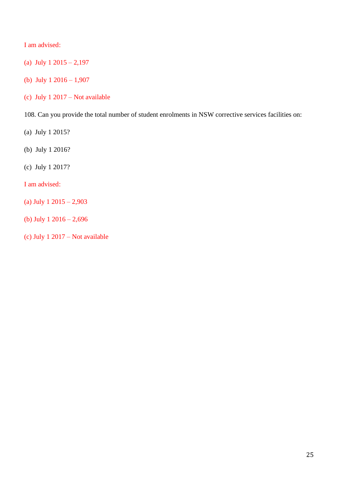#### I am advised:

- (a) July 1 2015 2,197
- (b) July 1 2016 1,907
- (c) July 1 2017 Not available

108. Can you provide the total number of student enrolments in NSW corrective services facilities on:

- (a) July 1 2015?
- (b) July 1 2016?
- (c) July 1 2017?

#### I am advised:

- (a) July 1 2015 2,903
- (b) July 1 2016 2,696
- (c) July 1 2017 Not available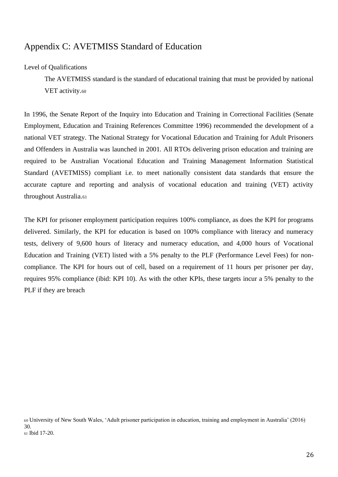### Appendix C: AVETMISS Standard of Education

Level of Qualifications

The AVETMISS standard is the standard of educational training that must be provided by national VET activity.<sup>60</sup>

In 1996, the Senate Report of the Inquiry into Education and Training in Correctional Facilities (Senate Employment, Education and Training References Committee 1996) recommended the development of a national VET strategy. The National Strategy for Vocational Education and Training for Adult Prisoners and Offenders in Australia was launched in 2001. All RTOs delivering prison education and training are required to be Australian Vocational Education and Training Management Information Statistical Standard (AVETMISS) compliant i.e. to meet nationally consistent data standards that ensure the accurate capture and reporting and analysis of vocational education and training (VET) activity throughout Australia.<sup>61</sup>

The KPI for prisoner employment participation requires 100% compliance, as does the KPI for programs delivered. Similarly, the KPI for education is based on 100% compliance with literacy and numeracy tests, delivery of 9,600 hours of literacy and numeracy education, and 4,000 hours of Vocational Education and Training (VET) listed with a 5% penalty to the PLF (Performance Level Fees) for noncompliance. The KPI for hours out of cell, based on a requirement of 11 hours per prisoner per day, requires 95% compliance (ibid: KPI 10). As with the other KPIs, these targets incur a 5% penalty to the PLF if they are breach

<sup>60</sup> University of New South Wales, 'Adult prisoner participation in education, training and employment in Australia' (2016) 30. <sup>61</sup> Ibid 17-20.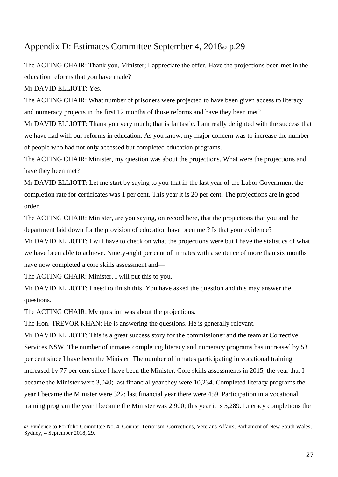### Appendix D: Estimates Committee September 4,  $2018<sub>62</sub>$  p.29

The ACTING CHAIR: Thank you, Minister; I appreciate the offer. Have the projections been met in the education reforms that you have made?

Mr DAVID ELLIOTT: Yes.

The ACTING CHAIR: What number of prisoners were projected to have been given access to literacy and numeracy projects in the first 12 months of those reforms and have they been met?

Mr DAVID ELLIOTT: Thank you very much; that is fantastic. I am really delighted with the success that we have had with our reforms in education. As you know, my major concern was to increase the number of people who had not only accessed but completed education programs.

The ACTING CHAIR: Minister, my question was about the projections. What were the projections and have they been met?

Mr DAVID ELLIOTT: Let me start by saying to you that in the last year of the Labor Government the completion rate for certificates was 1 per cent. This year it is 20 per cent. The projections are in good order.

The ACTING CHAIR: Minister, are you saying, on record here, that the projections that you and the department laid down for the provision of education have been met? Is that your evidence?

Mr DAVID ELLIOTT: I will have to check on what the projections were but I have the statistics of what we have been able to achieve. Ninety-eight per cent of inmates with a sentence of more than six months have now completed a core skills assessment and—

The ACTING CHAIR: Minister, I will put this to you.

Mr DAVID ELLIOTT: I need to finish this. You have asked the question and this may answer the questions.

The ACTING CHAIR: My question was about the projections.

The Hon. TREVOR KHAN: He is answering the questions. He is generally relevant.

Mr DAVID ELLIOTT: This is a great success story for the commissioner and the team at Corrective Services NSW. The number of inmates completing literacy and numeracy programs has increased by 53 per cent since I have been the Minister. The number of inmates participating in vocational training increased by 77 per cent since I have been the Minister. Core skills assessments in 2015, the year that I became the Minister were 3,040; last financial year they were 10,234. Completed literacy programs the year I became the Minister were 322; last financial year there were 459. Participation in a vocational training program the year I became the Minister was 2,900; this year it is 5,289. Literacy completions the

<sup>62</sup> Evidence to Portfolio Committee No. 4, Counter Terrorism, Corrections, Veterans Affairs, Parliament of New South Wales, Sydney, 4 September 2018, 29.